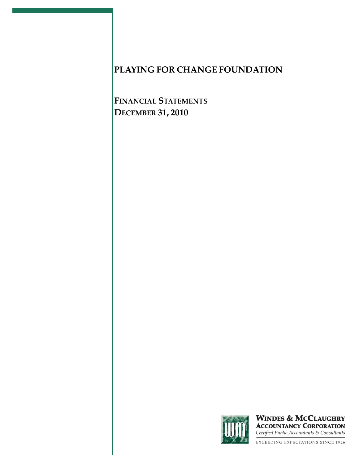**FINANCIAL STATEMENTS DECEMBER 31, 2010**



**WINDES & MCCLAUGHRY ACCOUNTANCY CORPORATION** Certified Public Accountants & Consultants

EXCEEDING EXPECTATIONS SINCE 1926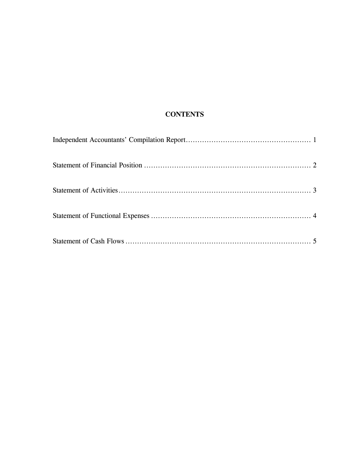## **CONTENTS**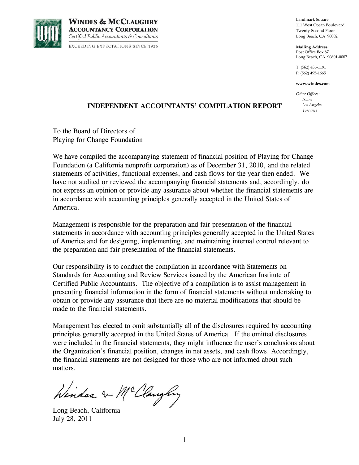

**WINDES & MCCLAUGHRY ACCOUNTANCY CORPORATION** Certified Public Accountants & Consultants EXCEEDING EXPECTATIONS SINCE 1926 Landmark Square 111 West Ocean Boulevard Twenty-Second Floor Long Beach, CA 90802

**Mailing Address:** Post Office Box 87 Long Beach, CA 90801-0087

T: (562) 435-1191 F: (562) 495-1665

**www.windes.com**

*Other Offices: Irvine Los Angeles Torrance*

### **INDEPENDENT ACCOUNTANTS' COMPILATION REPORT**

To the Board of Directors of Playing for Change Foundation

We have compiled the accompanying statement of financial position of Playing for Change Foundation (a California nonprofit corporation) as of December 31, 2010, and the related statements of activities, functional expenses, and cash flows for the year then ended. We have not audited or reviewed the accompanying financial statements and, accordingly, do not express an opinion or provide any assurance about whether the financial statements are in accordance with accounting principles generally accepted in the United States of America.

Management is responsible for the preparation and fair presentation of the financial statements in accordance with accounting principles generally accepted in the United States of America and for designing, implementing, and maintaining internal control relevant to the preparation and fair presentation of the financial statements.

Our responsibility is to conduct the compilation in accordance with Statements on Standards for Accounting and Review Services issued by the American Institute of Certified Public Accountants. The objective of a compilation is to assist management in presenting financial information in the form of financial statements without undertaking to obtain or provide any assurance that there are no material modifications that should be made to the financial statements.

Management has elected to omit substantially all of the disclosures required by accounting principles generally accepted in the United States of America. If the omitted disclosures were included in the financial statements, they might influence the user's conclusions about the Organization's financial position, changes in net assets, and cash flows. Accordingly, the financial statements are not designed for those who are not informed about such matters.

Windes & McClaughy

Long Beach, California July 28, 2011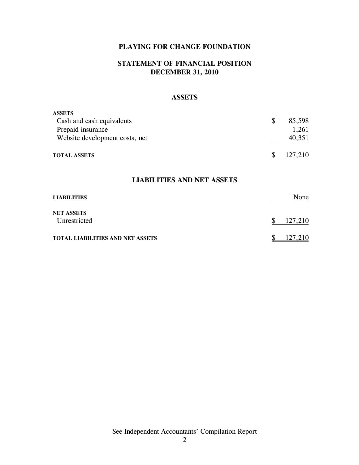### **STATEMENT OF FINANCIAL POSITION DECEMBER 31, 2010**

#### **ASSETS**

| <b>ASSETS</b>                  |                         |
|--------------------------------|-------------------------|
| Cash and cash equivalents      | 85,598<br><sup>\$</sup> |
| Prepaid insurance              | 1,261                   |
| Website development costs, net | 40,351                  |
| <b>TOTAL ASSETS</b>            | 127,210                 |

#### **LIABILITIES AND NET ASSETS**

| <b>LIABILITIES</b>                | None          |
|-----------------------------------|---------------|
| <b>NET ASSETS</b><br>Unrestricted | 127,210<br>\$ |
| TOTAL LIABILITIES AND NET ASSETS  | 127,210       |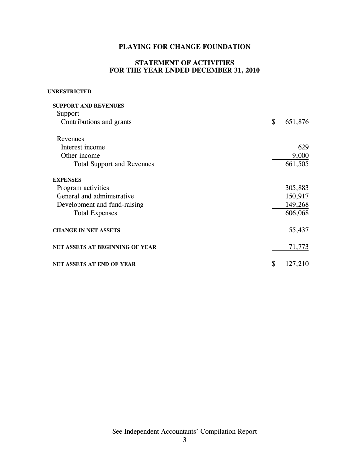#### **STATEMENT OF ACTIVITIES FOR THE YEAR ENDED DECEMBER 31, 2010**

#### **UNRESTRICTED**

| <b>SUPPORT AND REVENUES</b>       |               |
|-----------------------------------|---------------|
| Support                           |               |
| Contributions and grants          | \$<br>651,876 |
| Revenues                          |               |
| Interest income                   | 629           |
| Other income                      | 9,000         |
| <b>Total Support and Revenues</b> | 661,505       |
| <b>EXPENSES</b>                   |               |
| Program activities                | 305,883       |
| General and administrative        | 150,917       |
| Development and fund-raising      | 149,268       |
| <b>Total Expenses</b>             | 606,068       |
| <b>CHANGE IN NET ASSETS</b>       | 55,437        |
| NET ASSETS AT BEGINNING OF YEAR   | 71,773        |
| <b>NET ASSETS AT END OF YEAR</b>  | 127,210       |

See Independent Accountants' Compilation Report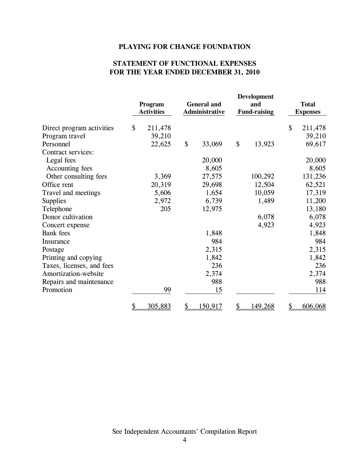### **STATEMENT OF FUNCTIONAL EXPENSES FOR THE YEAR ENDED DECEMBER 31, 2010**

|                           |           | Program<br><b>Activities</b> |           | <b>General and</b><br>Administrative | <b>Development</b><br>and<br><b>Fund-raising</b> |         | <b>Total</b><br><b>Expenses</b> |         |
|---------------------------|-----------|------------------------------|-----------|--------------------------------------|--------------------------------------------------|---------|---------------------------------|---------|
| Direct program activities | \$        | 211,478                      |           |                                      |                                                  |         | \$                              | 211,478 |
| Program travel            |           | 39,210                       |           |                                      |                                                  |         |                                 | 39,210  |
| Personnel                 |           | 22,625                       | \$        | 33,069                               | \$                                               | 13,923  |                                 | 69,617  |
| Contract services:        |           |                              |           |                                      |                                                  |         |                                 |         |
| Legal fees                |           |                              |           | 20,000                               |                                                  |         |                                 | 20,000  |
| Accounting fees           |           |                              |           | 8,605                                |                                                  |         |                                 | 8,605   |
| Other consulting fees     |           | 3,369                        |           | 27,575                               |                                                  | 100,292 |                                 | 131,236 |
| Office rent               |           | 20,319                       |           | 29,698                               |                                                  | 12,504  |                                 | 62,521  |
| Travel and meetings       |           | 5,606                        |           | 1,654                                |                                                  | 10,059  |                                 | 17,319  |
| <b>Supplies</b>           |           | 2,972                        |           | 6,739                                |                                                  | 1,489   |                                 | 11,200  |
| Telephone                 |           | 205                          |           | 12,975                               |                                                  |         |                                 | 13,180  |
| Donor cultivation         |           |                              |           |                                      |                                                  | 6,078   |                                 | 6,078   |
| Concert expense           |           |                              |           |                                      |                                                  | 4,923   |                                 | 4,923   |
| <b>Bank</b> fees          |           |                              |           | 1,848                                |                                                  |         |                                 | 1,848   |
| Insurance                 |           |                              |           | 984                                  |                                                  |         |                                 | 984     |
| Postage                   |           |                              |           | 2,315                                |                                                  |         |                                 | 2,315   |
| Printing and copying      |           |                              |           | 1,842                                |                                                  |         |                                 | 1,842   |
| Taxes, licenses, and fees |           |                              |           | 236                                  |                                                  |         |                                 | 236     |
| Amortization-website      |           |                              |           | 2,374                                |                                                  |         |                                 | 2,374   |
| Repairs and maintenance   |           |                              |           | 988                                  |                                                  |         |                                 | 988     |
| Promotion                 |           | 99                           |           | 15                                   |                                                  |         |                                 | 114     |
|                           | <u>\$</u> | 305,883                      | <u>\$</u> | 150,917                              | \$                                               | 149,268 | \$                              | 606,068 |

See Independent Accountants' Compilation Report